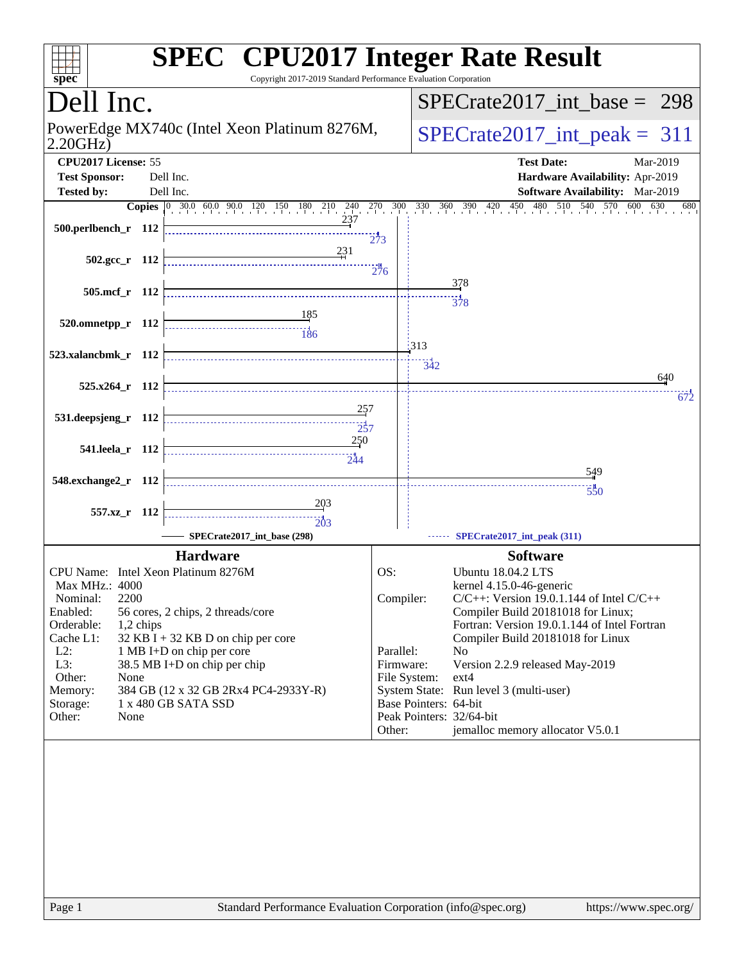| $spec^*$                                                                                                                                                                                                                                                                                                                                                                                                                              | <b>SPEC<sup>®</sup> CPU2017 Integer Rate Result</b><br>Copyright 2017-2019 Standard Performance Evaluation Corporation                                                                                                                                                                                                                                                                                                                                                                                                       |                                 |  |  |  |  |  |
|---------------------------------------------------------------------------------------------------------------------------------------------------------------------------------------------------------------------------------------------------------------------------------------------------------------------------------------------------------------------------------------------------------------------------------------|------------------------------------------------------------------------------------------------------------------------------------------------------------------------------------------------------------------------------------------------------------------------------------------------------------------------------------------------------------------------------------------------------------------------------------------------------------------------------------------------------------------------------|---------------------------------|--|--|--|--|--|
| Dell Inc.                                                                                                                                                                                                                                                                                                                                                                                                                             |                                                                                                                                                                                                                                                                                                                                                                                                                                                                                                                              | $SPECrate2017\_int\_base = 298$ |  |  |  |  |  |
| PowerEdge MX740c (Intel Xeon Platinum 8276M,<br>2.20GHz                                                                                                                                                                                                                                                                                                                                                                               | $SPECrate2017\_int\_peak = 311$                                                                                                                                                                                                                                                                                                                                                                                                                                                                                              |                                 |  |  |  |  |  |
| CPU2017 License: 55<br><b>Test Sponsor:</b><br>Dell Inc.<br><b>Tested by:</b><br>Dell Inc.                                                                                                                                                                                                                                                                                                                                            | <b>Test Date:</b><br>Mar-2019<br>Hardware Availability: Apr-2019<br><b>Software Availability:</b> Mar-2019                                                                                                                                                                                                                                                                                                                                                                                                                   |                                 |  |  |  |  |  |
|                                                                                                                                                                                                                                                                                                                                                                                                                                       | 600<br>630                                                                                                                                                                                                                                                                                                                                                                                                                                                                                                                   | 680                             |  |  |  |  |  |
| 500.perlbench_r 112                                                                                                                                                                                                                                                                                                                                                                                                                   | <b>Copies</b> 0 30.0 60.0 90.0 120 150 180 210 240 270 300 330 360 390 420 450 480 510 540 570<br>273                                                                                                                                                                                                                                                                                                                                                                                                                        |                                 |  |  |  |  |  |
| <u>231</u><br>$502.\text{gcc r}$ 112                                                                                                                                                                                                                                                                                                                                                                                                  | 276                                                                                                                                                                                                                                                                                                                                                                                                                                                                                                                          |                                 |  |  |  |  |  |
| 505.mcf r 112                                                                                                                                                                                                                                                                                                                                                                                                                         | 378<br>$\frac{1}{378}$                                                                                                                                                                                                                                                                                                                                                                                                                                                                                                       |                                 |  |  |  |  |  |
| <u>185</u><br>520.omnetpp_r 112                                                                                                                                                                                                                                                                                                                                                                                                       | 313                                                                                                                                                                                                                                                                                                                                                                                                                                                                                                                          |                                 |  |  |  |  |  |
| 523.xalancbmk_r 112                                                                                                                                                                                                                                                                                                                                                                                                                   | 342<br>640                                                                                                                                                                                                                                                                                                                                                                                                                                                                                                                   |                                 |  |  |  |  |  |
| 525.x264 r 112                                                                                                                                                                                                                                                                                                                                                                                                                        |                                                                                                                                                                                                                                                                                                                                                                                                                                                                                                                              | 672                             |  |  |  |  |  |
| 531.deepsjeng_r 112                                                                                                                                                                                                                                                                                                                                                                                                                   | 257<br>$\frac{1}{257}$                                                                                                                                                                                                                                                                                                                                                                                                                                                                                                       |                                 |  |  |  |  |  |
| 250<br>541.leela_r 112                                                                                                                                                                                                                                                                                                                                                                                                                |                                                                                                                                                                                                                                                                                                                                                                                                                                                                                                                              |                                 |  |  |  |  |  |
| 548.exchange2_r 112                                                                                                                                                                                                                                                                                                                                                                                                                   | 549                                                                                                                                                                                                                                                                                                                                                                                                                                                                                                                          |                                 |  |  |  |  |  |
| 203<br>557.xz_r 112<br>203                                                                                                                                                                                                                                                                                                                                                                                                            | 550                                                                                                                                                                                                                                                                                                                                                                                                                                                                                                                          |                                 |  |  |  |  |  |
| SPECrate2017 int base (298)                                                                                                                                                                                                                                                                                                                                                                                                           | SPECrate2017_int_peak (311)                                                                                                                                                                                                                                                                                                                                                                                                                                                                                                  |                                 |  |  |  |  |  |
| <b>Hardware</b><br>CPU Name: Intel Xeon Platinum 8276M<br>Max MHz.: 4000<br>2200<br>Nominal:<br>Enabled:<br>56 cores, 2 chips, 2 threads/core<br>Orderable:<br>1,2 chips<br>$32$ KB I + 32 KB D on chip per core<br>Cache L1:<br>$L2$ :<br>1 MB I+D on chip per core<br>L3:<br>38.5 MB I+D on chip per chip<br>Other:<br>None<br>384 GB (12 x 32 GB 2Rx4 PC4-2933Y-R)<br>Memory:<br>1 x 480 GB SATA SSD<br>Storage:<br>Other:<br>None | <b>Software</b><br>OS:<br><b>Ubuntu 18.04.2 LTS</b><br>kernel 4.15.0-46-generic<br>Compiler:<br>$C/C++$ : Version 19.0.1.144 of Intel $C/C++$<br>Compiler Build 20181018 for Linux;<br>Fortran: Version 19.0.1.144 of Intel Fortran<br>Compiler Build 20181018 for Linux<br>Parallel:<br>N <sub>0</sub><br>Firmware:<br>Version 2.2.9 released May-2019<br>File System:<br>ext4<br>System State: Run level 3 (multi-user)<br>Base Pointers: 64-bit<br>Peak Pointers: 32/64-bit<br>jemalloc memory allocator V5.0.1<br>Other: |                                 |  |  |  |  |  |
| Page 1                                                                                                                                                                                                                                                                                                                                                                                                                                | Standard Performance Evaluation Corporation (info@spec.org)<br>https://www.spec.org/                                                                                                                                                                                                                                                                                                                                                                                                                                         |                                 |  |  |  |  |  |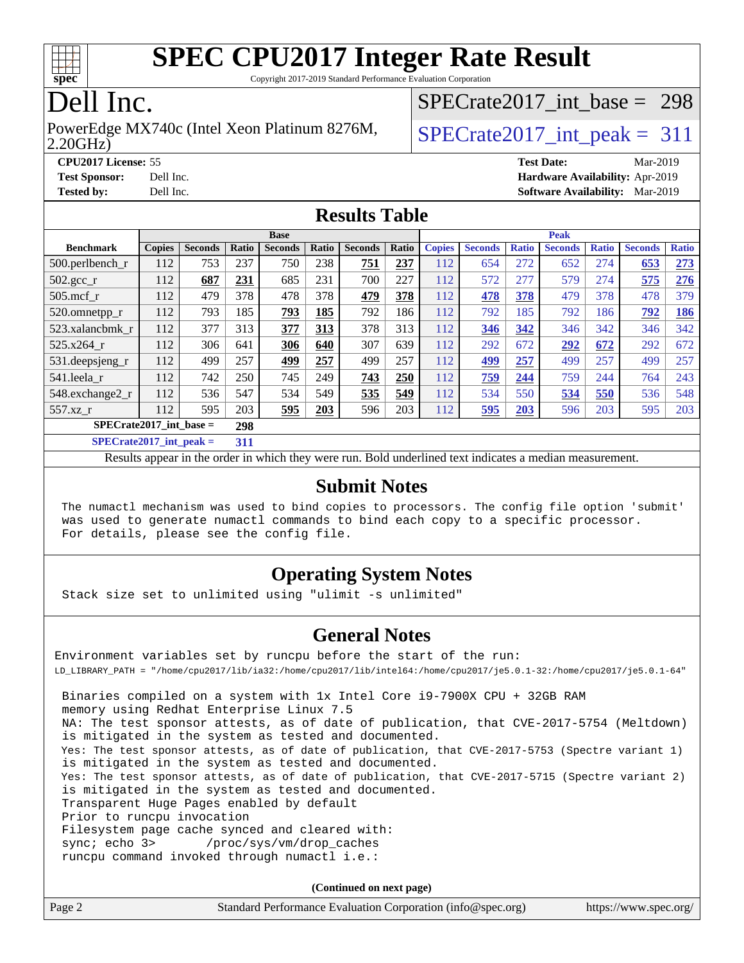

Copyright 2017-2019 Standard Performance Evaluation Corporation

# Dell Inc.

#### 2.20GHz) PowerEdge MX740c (Intel Xeon Platinum 8276M,  $\big|$  [SPECrate2017\\_int\\_peak =](http://www.spec.org/auto/cpu2017/Docs/result-fields.html#SPECrate2017intpeak) 311

[SPECrate2017\\_int\\_base =](http://www.spec.org/auto/cpu2017/Docs/result-fields.html#SPECrate2017intbase) 298

**[CPU2017 License:](http://www.spec.org/auto/cpu2017/Docs/result-fields.html#CPU2017License)** 55 **[Test Date:](http://www.spec.org/auto/cpu2017/Docs/result-fields.html#TestDate)** Mar-2019 **[Test Sponsor:](http://www.spec.org/auto/cpu2017/Docs/result-fields.html#TestSponsor)** Dell Inc. **[Hardware Availability:](http://www.spec.org/auto/cpu2017/Docs/result-fields.html#HardwareAvailability)** Apr-2019 **[Tested by:](http://www.spec.org/auto/cpu2017/Docs/result-fields.html#Testedby)** Dell Inc. **[Software Availability:](http://www.spec.org/auto/cpu2017/Docs/result-fields.html#SoftwareAvailability)** Mar-2019

### **[Results Table](http://www.spec.org/auto/cpu2017/Docs/result-fields.html#ResultsTable)**

| <b>Base</b>                      |               |                |       |                |       |                |       | <b>Peak</b>   |                |              |                |              |                |              |
|----------------------------------|---------------|----------------|-------|----------------|-------|----------------|-------|---------------|----------------|--------------|----------------|--------------|----------------|--------------|
| <b>Benchmark</b>                 | <b>Copies</b> | <b>Seconds</b> | Ratio | <b>Seconds</b> | Ratio | <b>Seconds</b> | Ratio | <b>Copies</b> | <b>Seconds</b> | <b>Ratio</b> | <b>Seconds</b> | <b>Ratio</b> | <b>Seconds</b> | <b>Ratio</b> |
| $500$ .perlbench r               | 112           | 753            | 237   | 750            | 238   | 751            | 237   | 112           | 654            | 272          | 652            | 274          | 653            | 273          |
| $502.\text{gcc}_r$               | 112           | 687            | 231   | 685            | 231   | 700            | 227   | 112           | 572            | 277          | 579            | 274          | 575            | 276          |
| $505$ .mcf r                     | 112           | 479            | 378   | 478            | 378   | 479            | 378   | 112           | 478            | 378          | 479            | 378          | 478            | 379          |
| 520.omnetpp_r                    | 112           | 793            | 185   | 793            | 185   | 792            | 186   | 112           | 792            | 185          | 792            | 186          | 792            | 186          |
| 523.xalancbmk r                  | 112           | 377            | 313   | 377            | 313   | 378            | 313   | 112           | 346            | 342          | 346            | 342          | 346            | 342          |
| 525.x264 r                       | 112           | 306            | 641   | 306            | 640   | 307            | 639   | 112           | 292            | 672          | 292            | 672          | 292            | 672          |
| $531.$ deepsjeng $_r$            | 112           | 499            | 257   | 499            | 257   | 499            | 257   | 112           | 499            | 257          | 499            | 257          | 499            | 257          |
| 541.leela_r                      | 112           | 742            | 250   | 745            | 249   | 743            | 250   | 112           | 759            | 244          | 759            | 244          | 764            | 243          |
| 548.exchange2_r                  | 112           | 536            | 547   | 534            | 549   | 535            | 549   | 112           | 534            | 550          | 534            | 550          | 536            | 548          |
| 557.xz r                         | 112           | 595            | 203   | 595            | 203   | 596            | 203   | 112           | 595            | 203          | 596            | 203          | 595            | 203          |
| $SPECrate2017$ int base =<br>298 |               |                |       |                |       |                |       |               |                |              |                |              |                |              |
| $CDEQ = 1.0047 + 1.001$          |               |                | $-1$  |                |       |                |       |               |                |              |                |              |                |              |

**[SPECrate2017\\_int\\_peak =](http://www.spec.org/auto/cpu2017/Docs/result-fields.html#SPECrate2017intpeak) 311**

Results appear in the [order in which they were run](http://www.spec.org/auto/cpu2017/Docs/result-fields.html#RunOrder). Bold underlined text [indicates a median measurement](http://www.spec.org/auto/cpu2017/Docs/result-fields.html#Median).

### **[Submit Notes](http://www.spec.org/auto/cpu2017/Docs/result-fields.html#SubmitNotes)**

 The numactl mechanism was used to bind copies to processors. The config file option 'submit' was used to generate numactl commands to bind each copy to a specific processor. For details, please see the config file.

### **[Operating System Notes](http://www.spec.org/auto/cpu2017/Docs/result-fields.html#OperatingSystemNotes)**

Stack size set to unlimited using "ulimit -s unlimited"

### **[General Notes](http://www.spec.org/auto/cpu2017/Docs/result-fields.html#GeneralNotes)**

Environment variables set by runcpu before the start of the run: LD\_LIBRARY\_PATH = "/home/cpu2017/lib/ia32:/home/cpu2017/lib/intel64:/home/cpu2017/je5.0.1-32:/home/cpu2017/je5.0.1-64" Binaries compiled on a system with 1x Intel Core i9-7900X CPU + 32GB RAM memory using Redhat Enterprise Linux 7.5 NA: The test sponsor attests, as of date of publication, that CVE-2017-5754 (Meltdown) is mitigated in the system as tested and documented. Yes: The test sponsor attests, as of date of publication, that CVE-2017-5753 (Spectre variant 1) is mitigated in the system as tested and documented. Yes: The test sponsor attests, as of date of publication, that CVE-2017-5715 (Spectre variant 2) is mitigated in the system as tested and documented. Transparent Huge Pages enabled by default Prior to runcpu invocation Filesystem page cache synced and cleared with: sync; echo 3> /proc/sys/vm/drop\_caches runcpu command invoked through numactl i.e.:

**(Continued on next page)**

| Page 2<br>Standard Performance Evaluation Corporation (info@spec.org)<br>https://www.spec.org/ |
|------------------------------------------------------------------------------------------------|
|------------------------------------------------------------------------------------------------|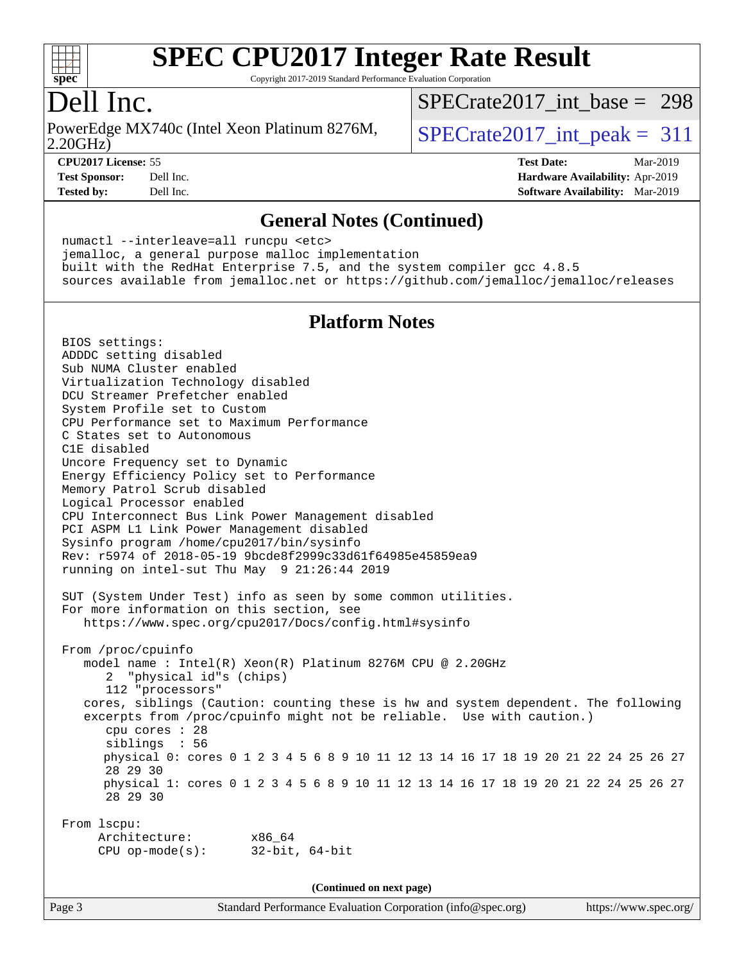

Copyright 2017-2019 Standard Performance Evaluation Corporation

### Dell Inc.

2.20GHz) PowerEdge MX740c (Intel Xeon Platinum 8276M,  $\big|$  [SPECrate2017\\_int\\_peak =](http://www.spec.org/auto/cpu2017/Docs/result-fields.html#SPECrate2017intpeak) 311

[SPECrate2017\\_int\\_base =](http://www.spec.org/auto/cpu2017/Docs/result-fields.html#SPECrate2017intbase) 298

**[CPU2017 License:](http://www.spec.org/auto/cpu2017/Docs/result-fields.html#CPU2017License)** 55 **[Test Date:](http://www.spec.org/auto/cpu2017/Docs/result-fields.html#TestDate)** Mar-2019

**[Test Sponsor:](http://www.spec.org/auto/cpu2017/Docs/result-fields.html#TestSponsor)** Dell Inc. **[Hardware Availability:](http://www.spec.org/auto/cpu2017/Docs/result-fields.html#HardwareAvailability)** Apr-2019 **[Tested by:](http://www.spec.org/auto/cpu2017/Docs/result-fields.html#Testedby)** Dell Inc. **[Software Availability:](http://www.spec.org/auto/cpu2017/Docs/result-fields.html#SoftwareAvailability)** Mar-2019

### **[General Notes \(Continued\)](http://www.spec.org/auto/cpu2017/Docs/result-fields.html#GeneralNotes)**

 numactl --interleave=all runcpu <etc> jemalloc, a general purpose malloc implementation built with the RedHat Enterprise 7.5, and the system compiler gcc 4.8.5 sources available from jemalloc.net or <https://github.com/jemalloc/jemalloc/releases>

### **[Platform Notes](http://www.spec.org/auto/cpu2017/Docs/result-fields.html#PlatformNotes)**

 BIOS settings: ADDDC setting disabled Sub NUMA Cluster enabled Virtualization Technology disabled DCU Streamer Prefetcher enabled System Profile set to Custom CPU Performance set to Maximum Performance C States set to Autonomous C1E disabled Uncore Frequency set to Dynamic Energy Efficiency Policy set to Performance Memory Patrol Scrub disabled Logical Processor enabled CPU Interconnect Bus Link Power Management disabled PCI ASPM L1 Link Power Management disabled Sysinfo program /home/cpu2017/bin/sysinfo Rev: r5974 of 2018-05-19 9bcde8f2999c33d61f64985e45859ea9 running on intel-sut Thu May 9 21:26:44 2019 SUT (System Under Test) info as seen by some common utilities. For more information on this section, see <https://www.spec.org/cpu2017/Docs/config.html#sysinfo> From /proc/cpuinfo model name : Intel(R) Xeon(R) Platinum 8276M CPU @ 2.20GHz 2 "physical id"s (chips) 112 "processors" cores, siblings (Caution: counting these is hw and system dependent. The following excerpts from /proc/cpuinfo might not be reliable. Use with caution.) cpu cores : 28 siblings : 56 physical 0: cores 0 1 2 3 4 5 6 8 9 10 11 12 13 14 16 17 18 19 20 21 22 24 25 26 27 28 29 30 physical 1: cores 0 1 2 3 4 5 6 8 9 10 11 12 13 14 16 17 18 19 20 21 22 24 25 26 27 28 29 30 From lscpu: Architecture: x86\_64 CPU op-mode(s): 32-bit, 64-bit **(Continued on next page)**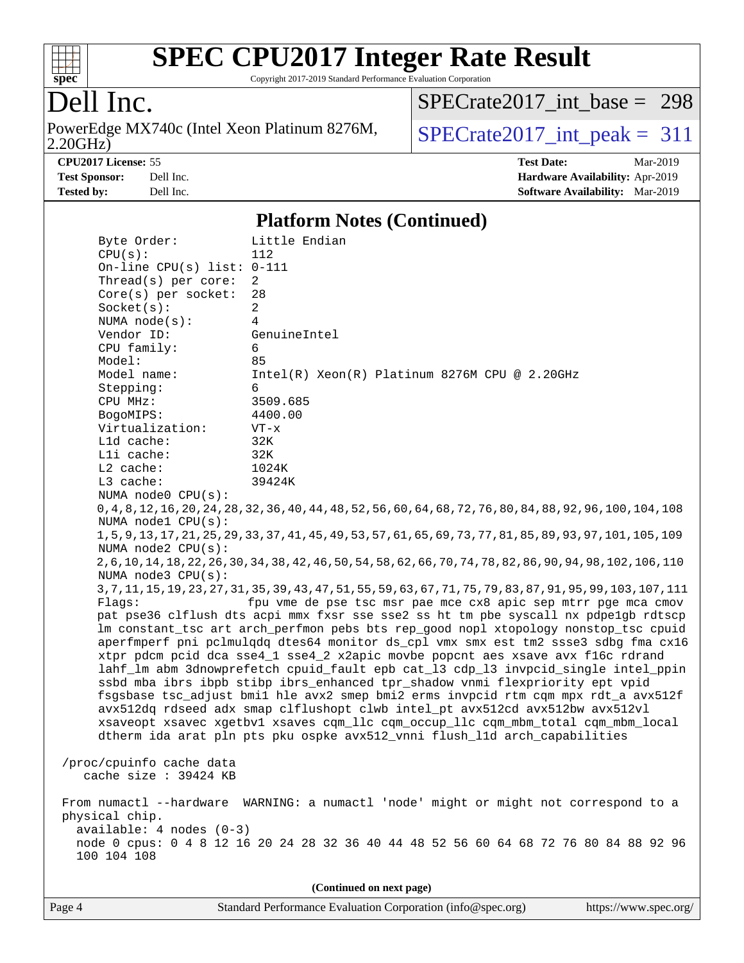

Copyright 2017-2019 Standard Performance Evaluation Corporation

# Dell Inc.

2.20GHz) PowerEdge MX740c (Intel Xeon Platinum 8276M,  $SPECrate2017\_int\_peak = 311$ 

[SPECrate2017\\_int\\_base =](http://www.spec.org/auto/cpu2017/Docs/result-fields.html#SPECrate2017intbase) 298

**[CPU2017 License:](http://www.spec.org/auto/cpu2017/Docs/result-fields.html#CPU2017License)** 55 **[Test Date:](http://www.spec.org/auto/cpu2017/Docs/result-fields.html#TestDate)** Mar-2019

**[Test Sponsor:](http://www.spec.org/auto/cpu2017/Docs/result-fields.html#TestSponsor)** Dell Inc. **[Hardware Availability:](http://www.spec.org/auto/cpu2017/Docs/result-fields.html#HardwareAvailability)** Apr-2019 **[Tested by:](http://www.spec.org/auto/cpu2017/Docs/result-fields.html#Testedby)** Dell Inc. **[Software Availability:](http://www.spec.org/auto/cpu2017/Docs/result-fields.html#SoftwareAvailability)** Mar-2019

### **[Platform Notes \(Continued\)](http://www.spec.org/auto/cpu2017/Docs/result-fields.html#PlatformNotes)**

| Byte Order:              | Little Endian                                                                                                   |
|--------------------------|-----------------------------------------------------------------------------------------------------------------|
| CPU(s):                  | 112                                                                                                             |
|                          | On-line CPU(s) list: $0-111$                                                                                    |
| Thread(s) per core:      | $\overline{2}$                                                                                                  |
| Core(s) per socket:      | 28                                                                                                              |
| Socket(s):               | $\overline{2}$                                                                                                  |
| NUMA $node(s):$          | 4                                                                                                               |
| Vendor ID:               | GenuineIntel                                                                                                    |
| CPU family:              | 6                                                                                                               |
| Model:                   | 85                                                                                                              |
| Model name:              | $Intel(R) Xeon(R) Platinum 8276M CPU @ 2.20GHz$                                                                 |
| Stepping:                | 6                                                                                                               |
| CPU MHz:                 | 3509.685                                                                                                        |
| BogoMIPS:                | 4400.00                                                                                                         |
| Virtualization:          | $VT - x$                                                                                                        |
| Lld cache:               | 32K                                                                                                             |
| Lli cache:               | 32K                                                                                                             |
| L2 cache:                | 1024K                                                                                                           |
| L3 cache:                | 39424K                                                                                                          |
| NUMA node0 CPU(s):       |                                                                                                                 |
|                          | 0, 4, 8, 12, 16, 20, 24, 28, 32, 36, 40, 44, 48, 52, 56, 60, 64, 68, 72, 76, 80, 84, 88, 92, 96, 100, 104, 108  |
| NUMA node1 CPU(s):       |                                                                                                                 |
|                          | 1, 5, 9, 13, 17, 21, 25, 29, 33, 37, 41, 45, 49, 53, 57, 61, 65, 69, 73, 77, 81, 85, 89, 93, 97, 101, 105, 109  |
| NUMA $node2$ $CPU(s)$ :  |                                                                                                                 |
|                          | 2, 6, 10, 14, 18, 22, 26, 30, 34, 38, 42, 46, 50, 54, 58, 62, 66, 70, 74, 78, 82, 86, 90, 94, 98, 102, 106, 110 |
| NUMA node3 CPU(s):       |                                                                                                                 |
|                          | 3, 7, 11, 15, 19, 23, 27, 31, 35, 39, 43, 47, 51, 55, 59, 63, 67, 71, 75, 79, 83, 87, 91, 95, 99, 103, 107, 111 |
| Flaqs:                   | fpu vme de pse tsc msr pae mce cx8 apic sep mtrr pge mca cmov                                                   |
|                          | pat pse36 clflush dts acpi mmx fxsr sse sse2 ss ht tm pbe syscall nx pdpelgb rdtscp                             |
|                          | lm constant_tsc art arch_perfmon pebs bts rep_good nopl xtopology nonstop_tsc cpuid                             |
|                          | aperfmperf pni pclmulqdq dtes64 monitor ds_cpl vmx smx est tm2 ssse3 sdbg fma cx16                              |
|                          | xtpr pdcm pcid dca sse4_1 sse4_2 x2apic movbe popcnt aes xsave avx f16c rdrand                                  |
|                          | lahf_lm abm 3dnowprefetch cpuid_fault epb cat_13 cdp_13 invpcid_single intel_ppin                               |
|                          | ssbd mba ibrs ibpb stibp ibrs_enhanced tpr_shadow vnmi flexpriority ept vpid                                    |
|                          | fsgsbase tsc_adjust bmil hle avx2 smep bmi2 erms invpcid rtm cqm mpx rdt_a avx512f                              |
|                          | avx512dq rdseed adx smap clflushopt clwb intel_pt avx512cd avx512bw avx512vl                                    |
|                          | xsaveopt xsavec xgetbvl xsaves cqm_llc cqm_occup_llc cqm_mbm_total cqm_mbm_local                                |
|                          | dtherm ida arat pln pts pku ospke avx512_vnni flush_lld arch_capabilities                                       |
|                          |                                                                                                                 |
| /proc/cpuinfo cache data |                                                                                                                 |
| cache size : 39424 KB    |                                                                                                                 |
|                          |                                                                                                                 |
|                          | From numactl --hardware WARNING: a numactl 'node' might or might not correspond to a                            |
| physical chip.           |                                                                                                                 |
| available: 4 nodes (0-3) |                                                                                                                 |
|                          | node 0 cpus: 0 4 8 12 16 20 24 28 32 36 40 44 48 52 56 60 64 68 72 76 80 84 88 92 96                            |
| 100 104 108              |                                                                                                                 |
|                          |                                                                                                                 |
|                          |                                                                                                                 |
|                          | (Continued on next page)                                                                                        |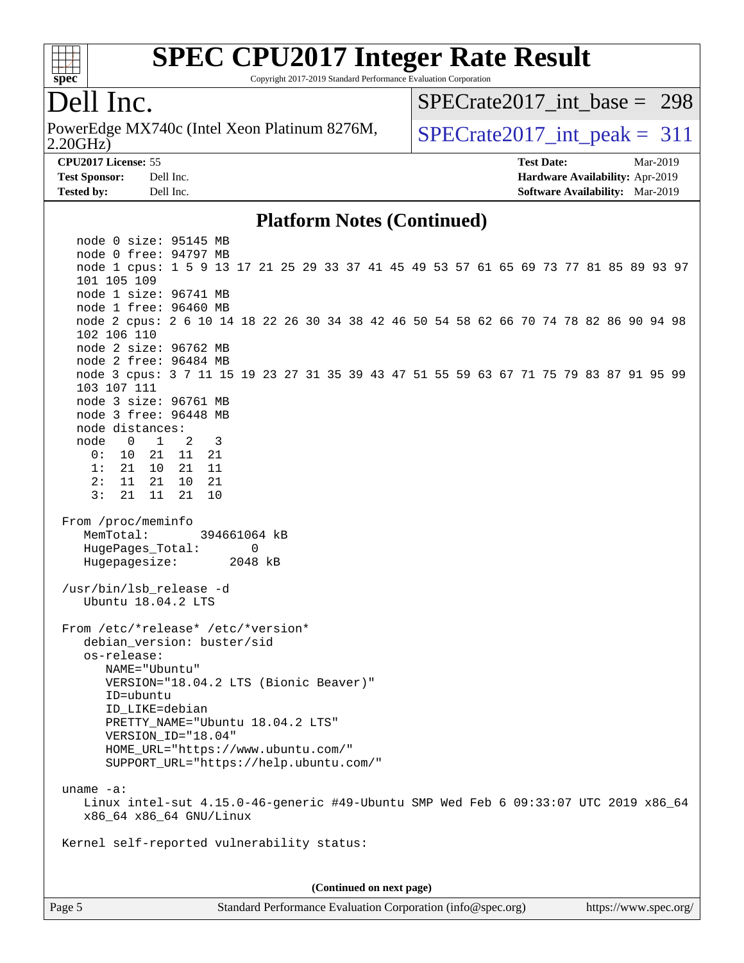

Copyright 2017-2019 Standard Performance Evaluation Corporation

## Dell Inc.

2.20GHz) PowerEdge MX740c (Intel Xeon Platinum 8276M,  $\big|$  [SPECrate2017\\_int\\_peak =](http://www.spec.org/auto/cpu2017/Docs/result-fields.html#SPECrate2017intpeak) 311

[SPECrate2017\\_int\\_base =](http://www.spec.org/auto/cpu2017/Docs/result-fields.html#SPECrate2017intbase) 298

**[Tested by:](http://www.spec.org/auto/cpu2017/Docs/result-fields.html#Testedby)** Dell Inc. **[Software Availability:](http://www.spec.org/auto/cpu2017/Docs/result-fields.html#SoftwareAvailability)** Mar-2019

**[CPU2017 License:](http://www.spec.org/auto/cpu2017/Docs/result-fields.html#CPU2017License)** 55 **[Test Date:](http://www.spec.org/auto/cpu2017/Docs/result-fields.html#TestDate)** Mar-2019 **[Test Sponsor:](http://www.spec.org/auto/cpu2017/Docs/result-fields.html#TestSponsor)** Dell Inc. **[Hardware Availability:](http://www.spec.org/auto/cpu2017/Docs/result-fields.html#HardwareAvailability)** Apr-2019

### **[Platform Notes \(Continued\)](http://www.spec.org/auto/cpu2017/Docs/result-fields.html#PlatformNotes)**

 node 0 size: 95145 MB node 0 free: 94797 MB node 1 cpus: 1 5 9 13 17 21 25 29 33 37 41 45 49 53 57 61 65 69 73 77 81 85 89 93 97 101 105 109 node 1 size: 96741 MB node 1 free: 96460 MB node 2 cpus: 2 6 10 14 18 22 26 30 34 38 42 46 50 54 58 62 66 70 74 78 82 86 90 94 98 102 106 110 node 2 size: 96762 MB node 2 free: 96484 MB node 3 cpus: 3 7 11 15 19 23 27 31 35 39 43 47 51 55 59 63 67 71 75 79 83 87 91 95 99 103 107 111 node 3 size: 96761 MB node 3 free: 96448 MB node distances: node 0 1 2 3 0: 10 21 11 21 1: 21 10 21 11 2: 11 21 10 21 3: 21 11 21 10 From /proc/meminfo MemTotal: 394661064 kB HugePages Total: 0 Hugepagesize: 2048 kB /usr/bin/lsb\_release -d Ubuntu 18.04.2 LTS From /etc/\*release\* /etc/\*version\* debian\_version: buster/sid os-release: NAME="Ubuntu" VERSION="18.04.2 LTS (Bionic Beaver)" ID=ubuntu ID\_LIKE=debian PRETTY\_NAME="Ubuntu 18.04.2 LTS" VERSION\_ID="18.04" HOME\_URL="<https://www.ubuntu.com/"> SUPPORT\_URL="<https://help.ubuntu.com/"> uname -a: Linux intel-sut 4.15.0-46-generic #49-Ubuntu SMP Wed Feb 6 09:33:07 UTC 2019 x86\_64 x86\_64 x86\_64 GNU/Linux Kernel self-reported vulnerability status: **(Continued on next page)**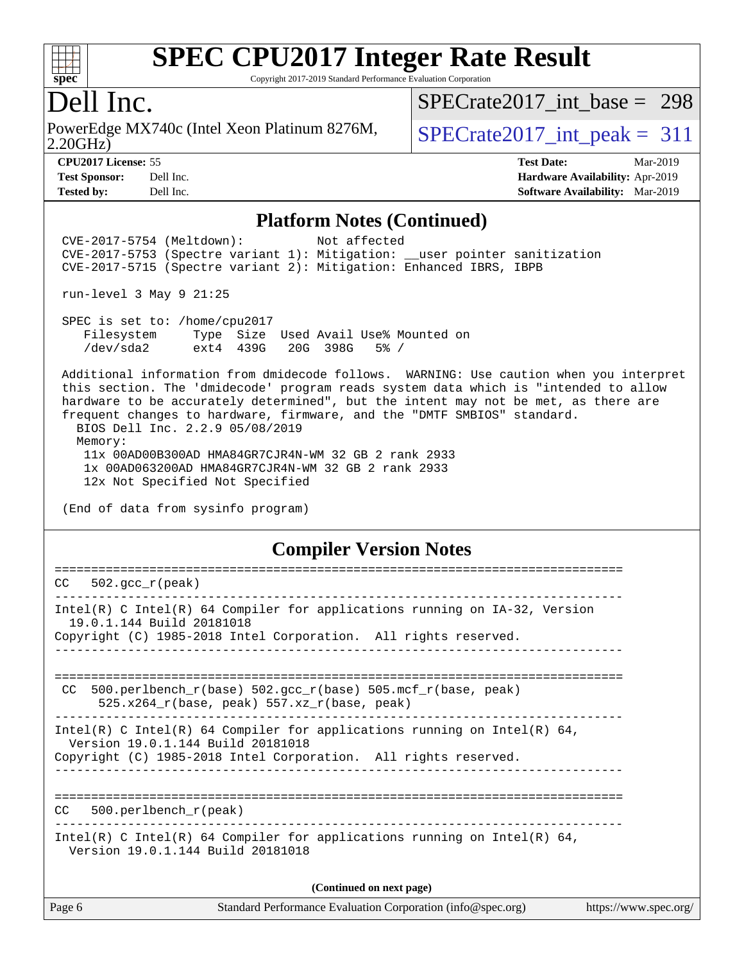

Copyright 2017-2019 Standard Performance Evaluation Corporation

### Dell Inc.

2.20GHz) PowerEdge MX740c (Intel Xeon Platinum 8276M,  $\vert$  [SPECrate2017\\_int\\_peak =](http://www.spec.org/auto/cpu2017/Docs/result-fields.html#SPECrate2017intpeak) 311

[SPECrate2017\\_int\\_base =](http://www.spec.org/auto/cpu2017/Docs/result-fields.html#SPECrate2017intbase) 298

**[Tested by:](http://www.spec.org/auto/cpu2017/Docs/result-fields.html#Testedby)** Dell Inc. **[Software Availability:](http://www.spec.org/auto/cpu2017/Docs/result-fields.html#SoftwareAvailability)** Mar-2019

**[CPU2017 License:](http://www.spec.org/auto/cpu2017/Docs/result-fields.html#CPU2017License)** 55 **[Test Date:](http://www.spec.org/auto/cpu2017/Docs/result-fields.html#TestDate)** Mar-2019 **[Test Sponsor:](http://www.spec.org/auto/cpu2017/Docs/result-fields.html#TestSponsor)** Dell Inc. **[Hardware Availability:](http://www.spec.org/auto/cpu2017/Docs/result-fields.html#HardwareAvailability)** Apr-2019

### **[Platform Notes \(Continued\)](http://www.spec.org/auto/cpu2017/Docs/result-fields.html#PlatformNotes)**

 CVE-2017-5754 (Meltdown): Not affected CVE-2017-5753 (Spectre variant 1): Mitigation: \_\_user pointer sanitization CVE-2017-5715 (Spectre variant 2): Mitigation: Enhanced IBRS, IBPB

run-level 3 May 9 21:25

 SPEC is set to: /home/cpu2017 Filesystem Type Size Used Avail Use% Mounted on /dev/sda2 ext4 439G 20G 398G 5% /

 Additional information from dmidecode follows. WARNING: Use caution when you interpret this section. The 'dmidecode' program reads system data which is "intended to allow hardware to be accurately determined", but the intent may not be met, as there are frequent changes to hardware, firmware, and the "DMTF SMBIOS" standard. BIOS Dell Inc. 2.2.9 05/08/2019 Memory: 11x 00AD00B300AD HMA84GR7CJR4N-WM 32 GB 2 rank 2933 1x 00AD063200AD HMA84GR7CJR4N-WM 32 GB 2 rank 2933

12x Not Specified Not Specified

(End of data from sysinfo program)

### **[Compiler Version Notes](http://www.spec.org/auto/cpu2017/Docs/result-fields.html#CompilerVersionNotes)**

| CC.    | $502.\text{qcc r (peak)}$                                                                                                                                                        |  |
|--------|----------------------------------------------------------------------------------------------------------------------------------------------------------------------------------|--|
|        | Intel(R) C Intel(R) 64 Compiler for applications running on $IA-32$ , Version<br>19.0.1.144 Build 20181018<br>Copyright (C) 1985-2018 Intel Corporation. All rights reserved.    |  |
| CC.    | 500.perlbench_r(base) 502.gcc_r(base) 505.mcf_r(base, peak)<br>525.x264 $r(base, peak)$ 557.xz $r(base, peak)$                                                                   |  |
|        | Intel(R) C Intel(R) 64 Compiler for applications running on Intel(R) 64,<br>Version 19.0.1.144 Build 20181018<br>Copyright (C) 1985-2018 Intel Corporation. All rights reserved. |  |
| CC.    | ========================<br>$500.$ perlbench $r$ (peak)                                                                                                                          |  |
|        | Intel(R) C Intel(R) 64 Compiler for applications running on Intel(R) 64,<br>Version 19.0.1.144 Build 20181018                                                                    |  |
|        | (Continued on next page)                                                                                                                                                         |  |
| Page 6 | Standard Performance Evaluation Corporation (info@spec.org)<br>https://www.spec.org/                                                                                             |  |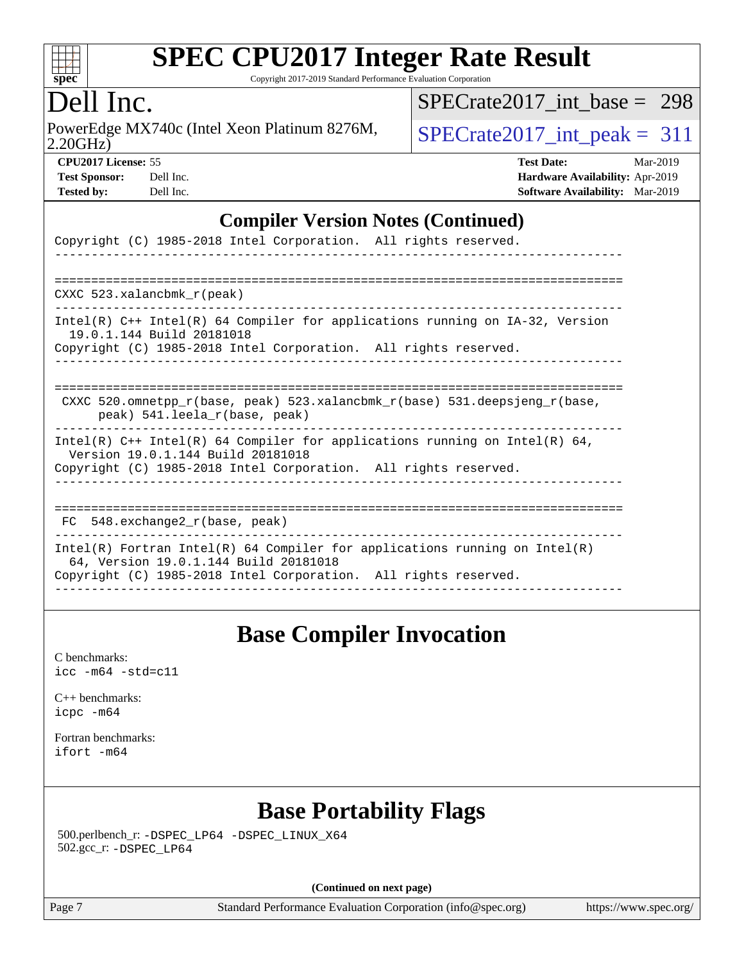

Copyright 2017-2019 Standard Performance Evaluation Corporation

## Dell Inc.

2.20GHz) PowerEdge MX740c (Intel Xeon Platinum 8276M,  $\big|$  [SPECrate2017\\_int\\_peak =](http://www.spec.org/auto/cpu2017/Docs/result-fields.html#SPECrate2017intpeak) 311

[SPECrate2017\\_int\\_base =](http://www.spec.org/auto/cpu2017/Docs/result-fields.html#SPECrate2017intbase) 298

**[CPU2017 License:](http://www.spec.org/auto/cpu2017/Docs/result-fields.html#CPU2017License)** 55 **[Test Date:](http://www.spec.org/auto/cpu2017/Docs/result-fields.html#TestDate)** Mar-2019 **[Test Sponsor:](http://www.spec.org/auto/cpu2017/Docs/result-fields.html#TestSponsor)** Dell Inc. **[Hardware Availability:](http://www.spec.org/auto/cpu2017/Docs/result-fields.html#HardwareAvailability)** Apr-2019 **[Tested by:](http://www.spec.org/auto/cpu2017/Docs/result-fields.html#Testedby)** Dell Inc. **[Software Availability:](http://www.spec.org/auto/cpu2017/Docs/result-fields.html#SoftwareAvailability)** Mar-2019

### **[Compiler Version Notes \(Continued\)](http://www.spec.org/auto/cpu2017/Docs/result-fields.html#CompilerVersionNotes)**

| Copyright (C) 1985-2018 Intel Corporation. All rights reserved.                                                                                                                        |
|----------------------------------------------------------------------------------------------------------------------------------------------------------------------------------------|
|                                                                                                                                                                                        |
| $CXXC$ 523.xalancbmk $r(\text{peak})$                                                                                                                                                  |
| $Intel(R)$ C++ Intel(R) 64 Compiler for applications running on IA-32, Version<br>19.0.1.144 Build 20181018<br>Copyright (C) 1985-2018 Intel Corporation. All rights reserved.         |
| CXXC 520.omnetpp_r(base, peak) 523.xalancbmk_r(base) 531.deepsjeng_r(base,<br>peak) 541. leela r(base, peak)                                                                           |
| Intel(R) $C++$ Intel(R) 64 Compiler for applications running on Intel(R) 64,<br>Version 19.0.1.144 Build 20181018<br>Copyright (C) 1985-2018 Intel Corporation. All rights reserved.   |
| $548$ . exchange2 $r(base, peak)$<br>FC                                                                                                                                                |
| Intel(R) Fortran Intel(R) 64 Compiler for applications running on Intel(R)<br>64, Version 19.0.1.144 Build 20181018<br>Copyright (C) 1985-2018 Intel Corporation. All rights reserved. |

### **[Base Compiler Invocation](http://www.spec.org/auto/cpu2017/Docs/result-fields.html#BaseCompilerInvocation)**

[C benchmarks](http://www.spec.org/auto/cpu2017/Docs/result-fields.html#Cbenchmarks): [icc -m64 -std=c11](http://www.spec.org/cpu2017/results/res2019q3/cpu2017-20190624-15425.flags.html#user_CCbase_intel_icc_64bit_c11_33ee0cdaae7deeeab2a9725423ba97205ce30f63b9926c2519791662299b76a0318f32ddfffdc46587804de3178b4f9328c46fa7c2b0cd779d7a61945c91cd35)

[C++ benchmarks:](http://www.spec.org/auto/cpu2017/Docs/result-fields.html#CXXbenchmarks) [icpc -m64](http://www.spec.org/cpu2017/results/res2019q3/cpu2017-20190624-15425.flags.html#user_CXXbase_intel_icpc_64bit_4ecb2543ae3f1412ef961e0650ca070fec7b7afdcd6ed48761b84423119d1bf6bdf5cad15b44d48e7256388bc77273b966e5eb805aefd121eb22e9299b2ec9d9)

[Fortran benchmarks](http://www.spec.org/auto/cpu2017/Docs/result-fields.html#Fortranbenchmarks): [ifort -m64](http://www.spec.org/cpu2017/results/res2019q3/cpu2017-20190624-15425.flags.html#user_FCbase_intel_ifort_64bit_24f2bb282fbaeffd6157abe4f878425411749daecae9a33200eee2bee2fe76f3b89351d69a8130dd5949958ce389cf37ff59a95e7a40d588e8d3a57e0c3fd751)

# **[Base Portability Flags](http://www.spec.org/auto/cpu2017/Docs/result-fields.html#BasePortabilityFlags)**

 500.perlbench\_r: [-DSPEC\\_LP64](http://www.spec.org/cpu2017/results/res2019q3/cpu2017-20190624-15425.flags.html#b500.perlbench_r_basePORTABILITY_DSPEC_LP64) [-DSPEC\\_LINUX\\_X64](http://www.spec.org/cpu2017/results/res2019q3/cpu2017-20190624-15425.flags.html#b500.perlbench_r_baseCPORTABILITY_DSPEC_LINUX_X64) 502.gcc\_r: [-DSPEC\\_LP64](http://www.spec.org/cpu2017/results/res2019q3/cpu2017-20190624-15425.flags.html#suite_basePORTABILITY502_gcc_r_DSPEC_LP64)

**(Continued on next page)**

Page 7 Standard Performance Evaluation Corporation [\(info@spec.org\)](mailto:info@spec.org) <https://www.spec.org/>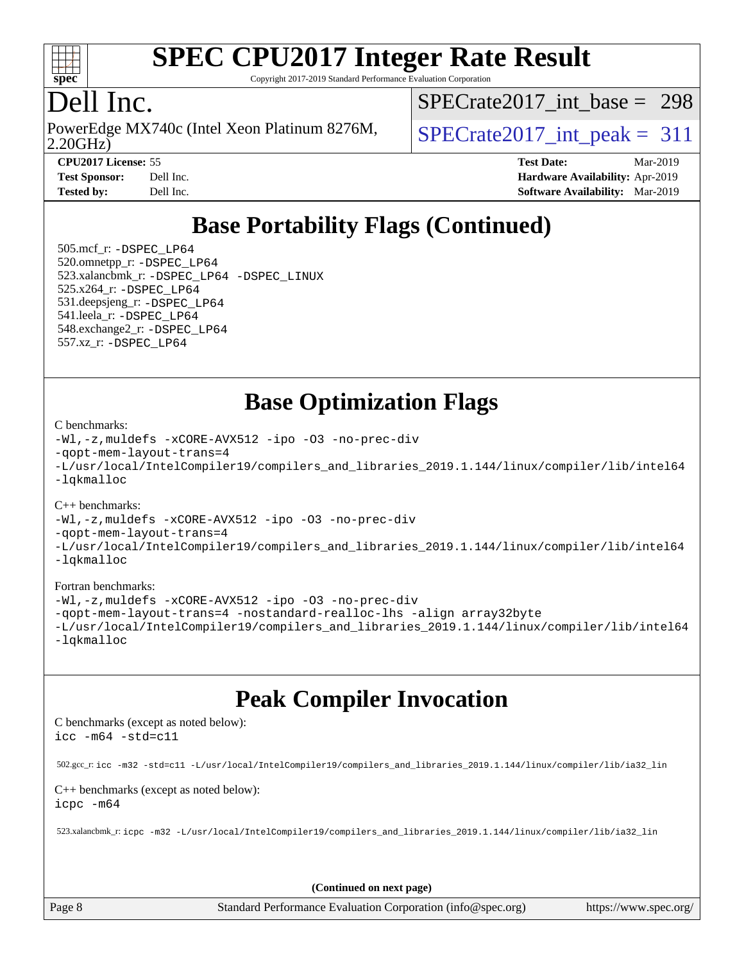

Copyright 2017-2019 Standard Performance Evaluation Corporation

# Dell Inc.

2.20GHz) PowerEdge MX740c (Intel Xeon Platinum 8276M,  $\big|$  [SPECrate2017\\_int\\_peak =](http://www.spec.org/auto/cpu2017/Docs/result-fields.html#SPECrate2017intpeak) 311

[SPECrate2017\\_int\\_base =](http://www.spec.org/auto/cpu2017/Docs/result-fields.html#SPECrate2017intbase) 298

**[CPU2017 License:](http://www.spec.org/auto/cpu2017/Docs/result-fields.html#CPU2017License)** 55 **[Test Date:](http://www.spec.org/auto/cpu2017/Docs/result-fields.html#TestDate)** Mar-2019 **[Test Sponsor:](http://www.spec.org/auto/cpu2017/Docs/result-fields.html#TestSponsor)** Dell Inc. **[Hardware Availability:](http://www.spec.org/auto/cpu2017/Docs/result-fields.html#HardwareAvailability)** Apr-2019 **[Tested by:](http://www.spec.org/auto/cpu2017/Docs/result-fields.html#Testedby)** Dell Inc. **[Software Availability:](http://www.spec.org/auto/cpu2017/Docs/result-fields.html#SoftwareAvailability)** Mar-2019

# **[Base Portability Flags \(Continued\)](http://www.spec.org/auto/cpu2017/Docs/result-fields.html#BasePortabilityFlags)**

 505.mcf\_r: [-DSPEC\\_LP64](http://www.spec.org/cpu2017/results/res2019q3/cpu2017-20190624-15425.flags.html#suite_basePORTABILITY505_mcf_r_DSPEC_LP64) 520.omnetpp\_r: [-DSPEC\\_LP64](http://www.spec.org/cpu2017/results/res2019q3/cpu2017-20190624-15425.flags.html#suite_basePORTABILITY520_omnetpp_r_DSPEC_LP64) 523.xalancbmk\_r: [-DSPEC\\_LP64](http://www.spec.org/cpu2017/results/res2019q3/cpu2017-20190624-15425.flags.html#suite_basePORTABILITY523_xalancbmk_r_DSPEC_LP64) [-DSPEC\\_LINUX](http://www.spec.org/cpu2017/results/res2019q3/cpu2017-20190624-15425.flags.html#b523.xalancbmk_r_baseCXXPORTABILITY_DSPEC_LINUX) 525.x264\_r: [-DSPEC\\_LP64](http://www.spec.org/cpu2017/results/res2019q3/cpu2017-20190624-15425.flags.html#suite_basePORTABILITY525_x264_r_DSPEC_LP64) 531.deepsjeng\_r: [-DSPEC\\_LP64](http://www.spec.org/cpu2017/results/res2019q3/cpu2017-20190624-15425.flags.html#suite_basePORTABILITY531_deepsjeng_r_DSPEC_LP64) 541.leela\_r: [-DSPEC\\_LP64](http://www.spec.org/cpu2017/results/res2019q3/cpu2017-20190624-15425.flags.html#suite_basePORTABILITY541_leela_r_DSPEC_LP64) 548.exchange2\_r: [-DSPEC\\_LP64](http://www.spec.org/cpu2017/results/res2019q3/cpu2017-20190624-15425.flags.html#suite_basePORTABILITY548_exchange2_r_DSPEC_LP64) 557.xz\_r: [-DSPEC\\_LP64](http://www.spec.org/cpu2017/results/res2019q3/cpu2017-20190624-15425.flags.html#suite_basePORTABILITY557_xz_r_DSPEC_LP64)

**[Base Optimization Flags](http://www.spec.org/auto/cpu2017/Docs/result-fields.html#BaseOptimizationFlags)**

#### [C benchmarks](http://www.spec.org/auto/cpu2017/Docs/result-fields.html#Cbenchmarks):

[-Wl,-z,muldefs](http://www.spec.org/cpu2017/results/res2019q3/cpu2017-20190624-15425.flags.html#user_CCbase_link_force_multiple1_b4cbdb97b34bdee9ceefcfe54f4c8ea74255f0b02a4b23e853cdb0e18eb4525ac79b5a88067c842dd0ee6996c24547a27a4b99331201badda8798ef8a743f577) [-xCORE-AVX512](http://www.spec.org/cpu2017/results/res2019q3/cpu2017-20190624-15425.flags.html#user_CCbase_f-xCORE-AVX512) [-ipo](http://www.spec.org/cpu2017/results/res2019q3/cpu2017-20190624-15425.flags.html#user_CCbase_f-ipo) [-O3](http://www.spec.org/cpu2017/results/res2019q3/cpu2017-20190624-15425.flags.html#user_CCbase_f-O3) [-no-prec-div](http://www.spec.org/cpu2017/results/res2019q3/cpu2017-20190624-15425.flags.html#user_CCbase_f-no-prec-div) [-qopt-mem-layout-trans=4](http://www.spec.org/cpu2017/results/res2019q3/cpu2017-20190624-15425.flags.html#user_CCbase_f-qopt-mem-layout-trans_fa39e755916c150a61361b7846f310bcdf6f04e385ef281cadf3647acec3f0ae266d1a1d22d972a7087a248fd4e6ca390a3634700869573d231a252c784941a8) [-L/usr/local/IntelCompiler19/compilers\\_and\\_libraries\\_2019.1.144/linux/compiler/lib/intel64](http://www.spec.org/cpu2017/results/res2019q3/cpu2017-20190624-15425.flags.html#user_CCbase_qkmalloc_link_f25da0aa8cf9bced0533715046f0c2fbfb1a7191e3e496916672e09b4c388a884c4c7e4862cb529343da2264b43416df65c99fd1ddbf5dd13ae6d3130cf47881) [-lqkmalloc](http://www.spec.org/cpu2017/results/res2019q3/cpu2017-20190624-15425.flags.html#user_CCbase_qkmalloc_link_lib_79a818439969f771c6bc311cfd333c00fc099dad35c030f5aab9dda831713d2015205805422f83de8875488a2991c0a156aaa600e1f9138f8fc37004abc96dc5)

#### [C++ benchmarks](http://www.spec.org/auto/cpu2017/Docs/result-fields.html#CXXbenchmarks):

[-Wl,-z,muldefs](http://www.spec.org/cpu2017/results/res2019q3/cpu2017-20190624-15425.flags.html#user_CXXbase_link_force_multiple1_b4cbdb97b34bdee9ceefcfe54f4c8ea74255f0b02a4b23e853cdb0e18eb4525ac79b5a88067c842dd0ee6996c24547a27a4b99331201badda8798ef8a743f577) [-xCORE-AVX512](http://www.spec.org/cpu2017/results/res2019q3/cpu2017-20190624-15425.flags.html#user_CXXbase_f-xCORE-AVX512) [-ipo](http://www.spec.org/cpu2017/results/res2019q3/cpu2017-20190624-15425.flags.html#user_CXXbase_f-ipo) [-O3](http://www.spec.org/cpu2017/results/res2019q3/cpu2017-20190624-15425.flags.html#user_CXXbase_f-O3) [-no-prec-div](http://www.spec.org/cpu2017/results/res2019q3/cpu2017-20190624-15425.flags.html#user_CXXbase_f-no-prec-div) [-qopt-mem-layout-trans=4](http://www.spec.org/cpu2017/results/res2019q3/cpu2017-20190624-15425.flags.html#user_CXXbase_f-qopt-mem-layout-trans_fa39e755916c150a61361b7846f310bcdf6f04e385ef281cadf3647acec3f0ae266d1a1d22d972a7087a248fd4e6ca390a3634700869573d231a252c784941a8) [-L/usr/local/IntelCompiler19/compilers\\_and\\_libraries\\_2019.1.144/linux/compiler/lib/intel64](http://www.spec.org/cpu2017/results/res2019q3/cpu2017-20190624-15425.flags.html#user_CXXbase_qkmalloc_link_f25da0aa8cf9bced0533715046f0c2fbfb1a7191e3e496916672e09b4c388a884c4c7e4862cb529343da2264b43416df65c99fd1ddbf5dd13ae6d3130cf47881) [-lqkmalloc](http://www.spec.org/cpu2017/results/res2019q3/cpu2017-20190624-15425.flags.html#user_CXXbase_qkmalloc_link_lib_79a818439969f771c6bc311cfd333c00fc099dad35c030f5aab9dda831713d2015205805422f83de8875488a2991c0a156aaa600e1f9138f8fc37004abc96dc5)

#### [Fortran benchmarks](http://www.spec.org/auto/cpu2017/Docs/result-fields.html#Fortranbenchmarks):

[-Wl,-z,muldefs](http://www.spec.org/cpu2017/results/res2019q3/cpu2017-20190624-15425.flags.html#user_FCbase_link_force_multiple1_b4cbdb97b34bdee9ceefcfe54f4c8ea74255f0b02a4b23e853cdb0e18eb4525ac79b5a88067c842dd0ee6996c24547a27a4b99331201badda8798ef8a743f577) [-xCORE-AVX512](http://www.spec.org/cpu2017/results/res2019q3/cpu2017-20190624-15425.flags.html#user_FCbase_f-xCORE-AVX512) [-ipo](http://www.spec.org/cpu2017/results/res2019q3/cpu2017-20190624-15425.flags.html#user_FCbase_f-ipo) [-O3](http://www.spec.org/cpu2017/results/res2019q3/cpu2017-20190624-15425.flags.html#user_FCbase_f-O3) [-no-prec-div](http://www.spec.org/cpu2017/results/res2019q3/cpu2017-20190624-15425.flags.html#user_FCbase_f-no-prec-div) [-qopt-mem-layout-trans=4](http://www.spec.org/cpu2017/results/res2019q3/cpu2017-20190624-15425.flags.html#user_FCbase_f-qopt-mem-layout-trans_fa39e755916c150a61361b7846f310bcdf6f04e385ef281cadf3647acec3f0ae266d1a1d22d972a7087a248fd4e6ca390a3634700869573d231a252c784941a8) [-nostandard-realloc-lhs](http://www.spec.org/cpu2017/results/res2019q3/cpu2017-20190624-15425.flags.html#user_FCbase_f_2003_std_realloc_82b4557e90729c0f113870c07e44d33d6f5a304b4f63d4c15d2d0f1fab99f5daaed73bdb9275d9ae411527f28b936061aa8b9c8f2d63842963b95c9dd6426b8a) [-align array32byte](http://www.spec.org/cpu2017/results/res2019q3/cpu2017-20190624-15425.flags.html#user_FCbase_align_array32byte_b982fe038af199962ba9a80c053b8342c548c85b40b8e86eb3cc33dee0d7986a4af373ac2d51c3f7cf710a18d62fdce2948f201cd044323541f22fc0fffc51b6) [-L/usr/local/IntelCompiler19/compilers\\_and\\_libraries\\_2019.1.144/linux/compiler/lib/intel64](http://www.spec.org/cpu2017/results/res2019q3/cpu2017-20190624-15425.flags.html#user_FCbase_qkmalloc_link_f25da0aa8cf9bced0533715046f0c2fbfb1a7191e3e496916672e09b4c388a884c4c7e4862cb529343da2264b43416df65c99fd1ddbf5dd13ae6d3130cf47881) [-lqkmalloc](http://www.spec.org/cpu2017/results/res2019q3/cpu2017-20190624-15425.flags.html#user_FCbase_qkmalloc_link_lib_79a818439969f771c6bc311cfd333c00fc099dad35c030f5aab9dda831713d2015205805422f83de8875488a2991c0a156aaa600e1f9138f8fc37004abc96dc5)

## **[Peak Compiler Invocation](http://www.spec.org/auto/cpu2017/Docs/result-fields.html#PeakCompilerInvocation)**

[C benchmarks \(except as noted below\)](http://www.spec.org/auto/cpu2017/Docs/result-fields.html#Cbenchmarksexceptasnotedbelow): [icc -m64 -std=c11](http://www.spec.org/cpu2017/results/res2019q3/cpu2017-20190624-15425.flags.html#user_CCpeak_intel_icc_64bit_c11_33ee0cdaae7deeeab2a9725423ba97205ce30f63b9926c2519791662299b76a0318f32ddfffdc46587804de3178b4f9328c46fa7c2b0cd779d7a61945c91cd35)

502.gcc\_r: [icc -m32 -std=c11 -L/usr/local/IntelCompiler19/compilers\\_and\\_libraries\\_2019.1.144/linux/compiler/lib/ia32\\_lin](http://www.spec.org/cpu2017/results/res2019q3/cpu2017-20190624-15425.flags.html#user_peakCCLD502_gcc_r_intel_icc_40453ff6bf9521e1d4c2d3e2fb99253a88fa516366d57fe908127cec2d2803e1a519020f7199618d366f5331d17d60a40bdca38a56a807895183dcecb671b0e5)

[C++ benchmarks \(except as noted below\)](http://www.spec.org/auto/cpu2017/Docs/result-fields.html#CXXbenchmarksexceptasnotedbelow): [icpc -m64](http://www.spec.org/cpu2017/results/res2019q3/cpu2017-20190624-15425.flags.html#user_CXXpeak_intel_icpc_64bit_4ecb2543ae3f1412ef961e0650ca070fec7b7afdcd6ed48761b84423119d1bf6bdf5cad15b44d48e7256388bc77273b966e5eb805aefd121eb22e9299b2ec9d9)

523.xalancbmk\_r: [icpc -m32 -L/usr/local/IntelCompiler19/compilers\\_and\\_libraries\\_2019.1.144/linux/compiler/lib/ia32\\_lin](http://www.spec.org/cpu2017/results/res2019q3/cpu2017-20190624-15425.flags.html#user_peakCXXLD523_xalancbmk_r_intel_icpc_da1545662a59c569b62a27824af614167f9a0289efc0155d279b219af3bd2ccb3c10a77eb36bcb264d681e48d9166bbcec9d21ef2c85e5a63a687a8887ddded7)

**(Continued on next page)**

Page 8 Standard Performance Evaluation Corporation [\(info@spec.org\)](mailto:info@spec.org) <https://www.spec.org/>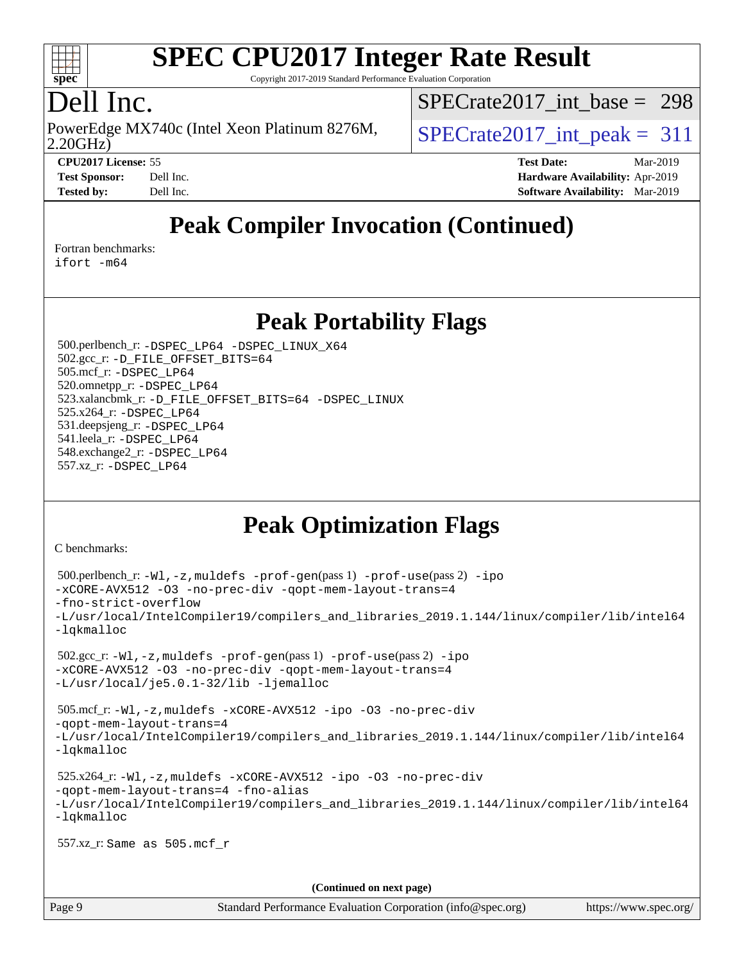

Copyright 2017-2019 Standard Performance Evaluation Corporation

# Dell Inc.

2.20GHz) PowerEdge MX740c (Intel Xeon Platinum 8276M,  $\big|$  [SPECrate2017\\_int\\_peak =](http://www.spec.org/auto/cpu2017/Docs/result-fields.html#SPECrate2017intpeak) 311

[SPECrate2017\\_int\\_base =](http://www.spec.org/auto/cpu2017/Docs/result-fields.html#SPECrate2017intbase) 298

**[Test Sponsor:](http://www.spec.org/auto/cpu2017/Docs/result-fields.html#TestSponsor)** Dell Inc. **[Hardware Availability:](http://www.spec.org/auto/cpu2017/Docs/result-fields.html#HardwareAvailability)** Apr-2019 **[Tested by:](http://www.spec.org/auto/cpu2017/Docs/result-fields.html#Testedby)** Dell Inc. **[Software Availability:](http://www.spec.org/auto/cpu2017/Docs/result-fields.html#SoftwareAvailability)** Mar-2019

**[CPU2017 License:](http://www.spec.org/auto/cpu2017/Docs/result-fields.html#CPU2017License)** 55 **[Test Date:](http://www.spec.org/auto/cpu2017/Docs/result-fields.html#TestDate)** Mar-2019

**[Peak Compiler Invocation \(Continued\)](http://www.spec.org/auto/cpu2017/Docs/result-fields.html#PeakCompilerInvocation)**

#### [Fortran benchmarks](http://www.spec.org/auto/cpu2017/Docs/result-fields.html#Fortranbenchmarks):

[ifort -m64](http://www.spec.org/cpu2017/results/res2019q3/cpu2017-20190624-15425.flags.html#user_FCpeak_intel_ifort_64bit_24f2bb282fbaeffd6157abe4f878425411749daecae9a33200eee2bee2fe76f3b89351d69a8130dd5949958ce389cf37ff59a95e7a40d588e8d3a57e0c3fd751)

### **[Peak Portability Flags](http://www.spec.org/auto/cpu2017/Docs/result-fields.html#PeakPortabilityFlags)**

 500.perlbench\_r: [-DSPEC\\_LP64](http://www.spec.org/cpu2017/results/res2019q3/cpu2017-20190624-15425.flags.html#b500.perlbench_r_peakPORTABILITY_DSPEC_LP64) [-DSPEC\\_LINUX\\_X64](http://www.spec.org/cpu2017/results/res2019q3/cpu2017-20190624-15425.flags.html#b500.perlbench_r_peakCPORTABILITY_DSPEC_LINUX_X64) 502.gcc\_r: [-D\\_FILE\\_OFFSET\\_BITS=64](http://www.spec.org/cpu2017/results/res2019q3/cpu2017-20190624-15425.flags.html#user_peakPORTABILITY502_gcc_r_file_offset_bits_64_5ae949a99b284ddf4e95728d47cb0843d81b2eb0e18bdfe74bbf0f61d0b064f4bda2f10ea5eb90e1dcab0e84dbc592acfc5018bc955c18609f94ddb8d550002c) 505.mcf\_r: [-DSPEC\\_LP64](http://www.spec.org/cpu2017/results/res2019q3/cpu2017-20190624-15425.flags.html#suite_peakPORTABILITY505_mcf_r_DSPEC_LP64) 520.omnetpp\_r: [-DSPEC\\_LP64](http://www.spec.org/cpu2017/results/res2019q3/cpu2017-20190624-15425.flags.html#suite_peakPORTABILITY520_omnetpp_r_DSPEC_LP64) 523.xalancbmk\_r: [-D\\_FILE\\_OFFSET\\_BITS=64](http://www.spec.org/cpu2017/results/res2019q3/cpu2017-20190624-15425.flags.html#user_peakPORTABILITY523_xalancbmk_r_file_offset_bits_64_5ae949a99b284ddf4e95728d47cb0843d81b2eb0e18bdfe74bbf0f61d0b064f4bda2f10ea5eb90e1dcab0e84dbc592acfc5018bc955c18609f94ddb8d550002c) [-DSPEC\\_LINUX](http://www.spec.org/cpu2017/results/res2019q3/cpu2017-20190624-15425.flags.html#b523.xalancbmk_r_peakCXXPORTABILITY_DSPEC_LINUX) 525.x264\_r: [-DSPEC\\_LP64](http://www.spec.org/cpu2017/results/res2019q3/cpu2017-20190624-15425.flags.html#suite_peakPORTABILITY525_x264_r_DSPEC_LP64) 531.deepsjeng\_r: [-DSPEC\\_LP64](http://www.spec.org/cpu2017/results/res2019q3/cpu2017-20190624-15425.flags.html#suite_peakPORTABILITY531_deepsjeng_r_DSPEC_LP64) 541.leela\_r: [-DSPEC\\_LP64](http://www.spec.org/cpu2017/results/res2019q3/cpu2017-20190624-15425.flags.html#suite_peakPORTABILITY541_leela_r_DSPEC_LP64) 548.exchange2\_r: [-DSPEC\\_LP64](http://www.spec.org/cpu2017/results/res2019q3/cpu2017-20190624-15425.flags.html#suite_peakPORTABILITY548_exchange2_r_DSPEC_LP64) 557.xz\_r: [-DSPEC\\_LP64](http://www.spec.org/cpu2017/results/res2019q3/cpu2017-20190624-15425.flags.html#suite_peakPORTABILITY557_xz_r_DSPEC_LP64)

# **[Peak Optimization Flags](http://www.spec.org/auto/cpu2017/Docs/result-fields.html#PeakOptimizationFlags)**

[C benchmarks](http://www.spec.org/auto/cpu2017/Docs/result-fields.html#Cbenchmarks):

```
 500.perlbench_r: -Wl,-z,muldefs -prof-gen(pass 1) -prof-use(pass 2) -ipo
-xCORE-AVX512 -O3 -no-prec-div -qopt-mem-layout-trans=4
-fno-strict-overflow
-L/usr/local/IntelCompiler19/compilers_and_libraries_2019.1.144/linux/compiler/lib/intel64
-lqkmalloc
 502.gcc_r: -Wl,-z,muldefs -prof-gen(pass 1) -prof-use(pass 2) -ipo
-xCORE-AVX512 -O3 -no-prec-div -qopt-mem-layout-trans=4
-L/usr/local/je5.0.1-32/lib -ljemalloc
 505.mcf_r: -Wl,-z,muldefs -xCORE-AVX512 -ipo -O3 -no-prec-div
-qopt-mem-layout-trans=4
-L/usr/local/IntelCompiler19/compilers_and_libraries_2019.1.144/linux/compiler/lib/intel64
-lqkmalloc
 525.x264_r: -Wl,-z,muldefs -xCORE-AVX512 -ipo -O3 -no-prec-div
-qopt-mem-layout-trans=4 -fno-alias
-L/usr/local/IntelCompiler19/compilers_and_libraries_2019.1.144/linux/compiler/lib/intel64
-lqkmalloc
 557.xz_r: Same as 505.mcf_r
                                      (Continued on next page)
```